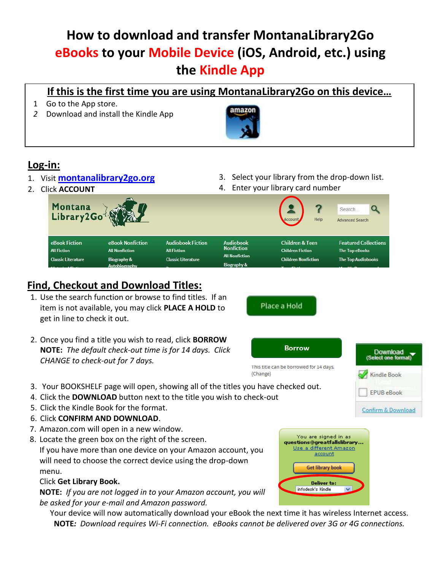# **How to download and transfer MontanaLibrary2Go eBooks to your Mobile Device (iOS, Android, etc.) using the Kindle App**

### **If this is the first time you are using MontanaLibrary2Go on this device…**

- 1 Go to the App store.
- *2* Download and install the Kindle App



## **Log-in:**

- 1. Visit **[montanalibrary2go.org](Old/montanalibrar2go.org)**
- 2. Click **ACCOUNT**
- 3. Select your library from the drop-down list.
- 4. Enter your library card number

Place a Hold



# **Find, Checkout and Download Titles:**

- 1. Use the search function or browse to find titles. If an item is not available, you may click **PLACE A HOLD** to get in line to check it out.
- 2. Once you find a title you wish to read, click **BORROW NOTE:** *The default check-out time is for 14 days. Click CHANGE to check-out for 7 days.*



- 3. Your BOOKSHELF page will open, showing all of the titles you have checked out.
- 4. Click the **DOWNLOAD** button next to the title you wish to check-out
- 5. Click the Kindle Book for the format.
- 6. Click **CONFIRM AND DOWNLOAD**.
- 7. Amazon.com will open in a new window.
- 8. Locate the green box on the right of the screen.

If you have more than one device on your Amazon account, you will need to choose the correct device using the drop-down menu.

#### Click **Get Library Book.**

**NOTE:** *If you are not logged in to your Amazon account, you will be asked for your e-mail and Amazon password.*

Your device will now automatically download your eBook the next time it has wireless Internet access. **NOTE***: Download requires Wi-Fi connection. eBooks cannot be delivered over 3G or 4G connections.*